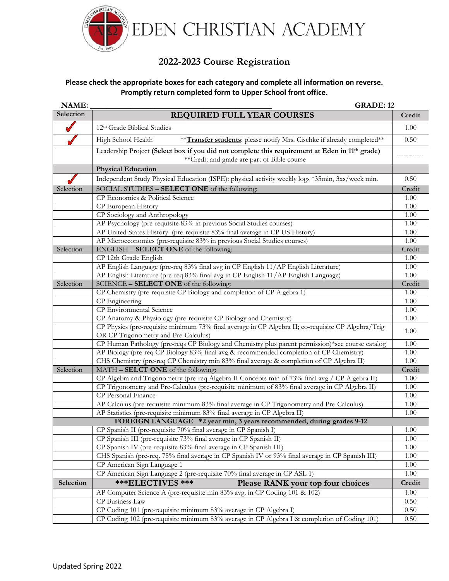

## **2022-2023 Course Registration**

## **Please check the appropriate boxes for each category and complete all information on reverse. Promptly return completed form to Upper School front office.**

| NAME:     | GRADE: 12                                                                                                                                                  |              |
|-----------|------------------------------------------------------------------------------------------------------------------------------------------------------------|--------------|
| Selection | <b>REQUIRED FULL YEAR COURSES</b>                                                                                                                          | Credit       |
|           | 12th Grade Biblical Studies                                                                                                                                | 1.00         |
|           | High School Health<br>** Transfer students: please notify Mrs. Cischke if already completed**                                                              | 0.50         |
|           | Leadership Project (Select box if you did not complete this requirement at Eden in 11 <sup>th</sup> grade)<br>** Credit and grade are part of Bible course |              |
|           | <b>Physical Education</b>                                                                                                                                  |              |
|           | Independent Study Physical Education (ISPE): physical activity weekly logs *35min, 3xs/week min.                                                           | 0.50         |
| Selection | SOCIAL STUDIES - SELECT ONE of the following:                                                                                                              | Credit       |
|           | CP Economics & Political Science                                                                                                                           | 1.00         |
|           | CP European History                                                                                                                                        | 1.00         |
|           | CP Sociology and Anthropology                                                                                                                              | 1.00         |
|           | AP Psychology (pre-requisite 83% in previous Social Studies courses)                                                                                       | 1.00         |
|           | AP United States History (pre-requisite 83% final average in CP US History)                                                                                | 1.00         |
|           | AP Microeconomics (pre-requisite 83% in previous Social Studies courses)                                                                                   | 1.00         |
| Selection | ENGLISH - SELECT ONE of the following:                                                                                                                     | Credit       |
|           | CP 12th Grade English                                                                                                                                      | 1.00         |
|           | AP English Language (pre-req 83% final avg in CP English 11/AP English Literature)                                                                         | 1.00         |
|           | AP English Literature (pre-req 83% final avg in CP English 11/AP English Language)                                                                         | 1.00         |
| Selection | SCIENCE - SELECT ONE of the following:                                                                                                                     | Credit       |
|           | CP Chemistry (pre-requisite CP Biology and completion of CP Algebra 1)                                                                                     | 1.00         |
|           | CP Engineering                                                                                                                                             | 1.00         |
|           | CP Environmental Science                                                                                                                                   | 1.00         |
|           | CP Anatomy & Physiology (pre-requisite CP Biology and Chemistry)                                                                                           | 1.00         |
|           | CP Physics (pre-requisite minimum 73% final average in CP Algebra II; co-requisite CP Algebra/Trig                                                         | 1.00         |
|           | OR CP Trigonometry and Pre-Calculus)                                                                                                                       |              |
|           | CP Human Pathology (pre-reqs CP Biology and Chemistry plus parent permission)*see course catalog                                                           | 1.00         |
|           | AP Biology (pre-req CP Biology 83% final avg & recommended completion of CP Chemistry)                                                                     | 1.00         |
|           | CHS Chemistry (pre-req CP Chemistry min 83% final average & completion of CP Algebra II)                                                                   | 1.00         |
| Selection | MATH - SELCT ONE of the following:                                                                                                                         | Credit       |
|           | CP Algebra and Trigonometry (pre-req Algebra II Concepts min of 73% final avg / CP Algebra II)                                                             | 1.00         |
|           | CP Trigonometry and Pre-Calculus (pre-requisite minimum of 83% final average in CP Algebra II)<br>CP Personal Finance                                      | 1.00         |
|           | AP Calculus (pre-requisite minimum 83% final average in CP Trigonometry and Pre-Calculus)                                                                  | 1.00<br>1.00 |
|           | AP Statistics (pre-requisite minimum 83% final average in CP Algebra II)                                                                                   | 1.00         |
|           | FOREIGN LANGUAGE *2 year min, 3 years recommended, during grades 9-12                                                                                      |              |
|           | CP Spanish II (pre-requisite 70% final average in CP Spanish I)                                                                                            | 1.00         |
|           | CP Spanish III (pre-requisite 73% final average in CP Spanish II)                                                                                          | 1.00         |
|           | CP Spanish IV (pre-requisite 83% final average in CP Spanish III)                                                                                          | 1.00         |
|           | CHS Spanish (pre-req. 75% final average in CP Spanish IV or 93% final average in CP Spanish III)                                                           | 1.00         |
|           | CP American Sign Language 1                                                                                                                                | 1.00         |
|           | CP American Sign Language 2 (pre-requisite 70% final average in CP ASL 1)                                                                                  | 1.00         |
| Selection | ***ELECTIVES ***<br>Please RANK your top four choices                                                                                                      | Credit       |
|           | AP Computer Science A (pre-requisite min 83% avg. in CP Coding 101 & 102)                                                                                  |              |
|           |                                                                                                                                                            | 1.00<br>0.50 |
|           | CP Business Law<br>CP Coding 101 (pre-requisite minimum 83% average in CP Algebra I)                                                                       | 0.50         |
|           | CP Coding 102 (pre-requisite minimum 83% average in CP Algebra I & completion of Coding 101)                                                               | 0.50         |
|           |                                                                                                                                                            |              |